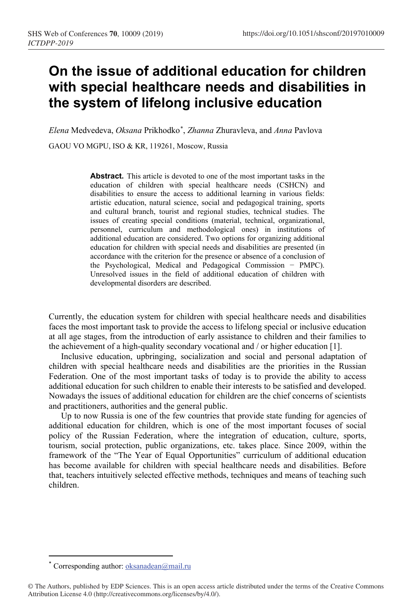## **On the issue of additional education for children with special healthcare needs and disabilities in the system of lifelong inclusive education**

*Elena* Medvedeva, *Oksana* Prikhodko\* , *Zhanna* Zhuravleva, and *Anna* Pavlova GAOU VO MGPU, ISO & KR, 119261, Moscow, Russia

> **Abstract.** This article is de[vo](#page-0-0)ted to one of the most important tasks in the education of children with special healthcare needs (CSHCN) and disabilities to ensure the access to additional learning in various fields: artistic education, natural science, social and pedagogical training, sports and cultural branch, tourist and regional studies, technical studies. The issues of creating special conditions (material, technical, organizational, personnel, curriculum and methodological ones) in institutions of additional education are considered. Two options for organizing additional education for children with special needs and disabilities are presented (in accordance with the criterion for the presence or absence of a conclusion of the Psychological, Medical and Pedagogical Commission − PMPC). Unresolved issues in the field of additional education of children with developmental disorders are described.

Currently, the education system for children with special healthcare needs and disabilities faces the most important task to provide the access to lifelong special or inclusive education at all age stages, from the introduction of early assistance to children and their families to the achievement of a high-quality secondary vocational and / or higher education [1].

Inclusive education, upbringing, socialization and social and personal adaptation of children with special healthcare needs and disabilities are the priorities in the Russian Federation. One of the most important tasks of today is to provide the ability to access additional education for such children to enable their interests to be satisfied and developed. Nowadays the issues of additional education for children are the chief concerns of scientists and practitioners, authorities and the general public.

Up to now Russia is one of the few countries that provide state funding for agencies of additional education for children, which is one of the most important focuses of social policy of the Russian Federation, where the integration of education, culture, sports, tourism, social protection, public organizations, etc. takes place. Since 2009, within the framework of the "The Year of Equal Opportunities" curriculum of additional education has become available for children with special healthcare needs and disabilities. Before that, teachers intuitively selected effective methods, techniques and means of teaching such children.

Corresponding author:  $oksanadean@mail.ru$ 

<span id="page-0-0"></span><sup>©</sup> The Authors, published by EDP Sciences. This is an open access article distributed under the terms of the Creative Commons Attribution License 4.0 (http://creativecommons.org/licenses/by/4.0/).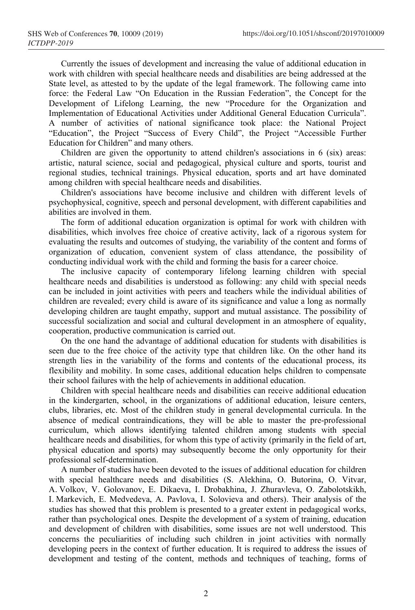Currently the issues of development and increasing the value of additional education in work with children with special healthcare needs and disabilities are being addressed at the State level, as attested to by the update of the legal framework. The following came into force: the Federal Law "On Education in the Russian Federation", the Concept for the Development of Lifelong Learning, the new "Procedure for the Organization and Implementation of Educational Activities under Additional General Education Curricula". A number of activities of national significance took place: the National Project "Education", the Project "Success of Every Child", the Project "Accessible Further Education for Children" and many others.

Children are given the opportunity to attend children's associations in 6 (six) areas: artistic, natural science, social and pedagogical, physical culture and sports, tourist and regional studies, technical trainings. Physical education, sports and art have dominated among children with special healthcare needs and disabilities.

Children's associations have become inclusive and children with different levels of psychophysical, cognitive, speech and personal development, with different capabilities and abilities are involved in them.

The form of additional education organization is optimal for work with children with disabilities, which involves free choice of creative activity, lack of a rigorous system for evaluating the results and outcomes of studying, the variability of the content and forms of organization of education, convenient system of class attendance, the possibility of conducting individual work with the child and forming the basis for a career choice.

The inclusive capacity of contemporary lifelong learning children with special healthcare needs and disabilities is understood as following: any child with special needs can be included in joint activities with peers and teachers while the individual abilities of children are revealed; every child is aware of its significance and value a long as normally developing children are taught empathy, support and mutual assistance. The possibility of successful socialization and social and cultural development in an atmosphere of equality, cooperation, productive communication is carried out.

On the one hand the advantage of additional education for students with disabilities is seen due to the free choice of the activity type that children like. On the other hand its strength lies in the variability of the forms and contents of the educational process, its flexibility and mobility. In some cases, additional education helps children to compensate their school failures with the help of achievements in additional education.

Children with special healthcare needs and disabilities can receive additional education in the kindergarten, school, in the organizations of additional education, leisure centers, clubs, libraries, etc. Most of the children study in general developmental curricula. In the absence of medical contraindications, they will be able to master the pre-professional curriculum, which allows identifying talented children among students with special healthcare needs and disabilities, for whom this type of activity (primarily in the field of art, physical education and sports) may subsequently become the only opportunity for their professional self-determination.

A number of studies have been devoted to the issues of additional education for children with special healthcare needs and disabilities (S. Alekhina, O. Butorina, O. Vitvar, A. Volkov, V. Golovanov, E. Dikaeva, I. Drobakhina, J. Zhuravleva, O. Zabolotskikh, I. Markevich, E. Medvedeva, A. Pavlova, I. Solovieva and others). Their analysis of the studies has showed that this problem is presented to a greater extent in pedagogical works, rather than psychological ones. Despite the development of a system of training, education and development of children with disabilities, some issues are not well understood. This concerns the peculiarities of including such children in joint activities with normally developing peers in the context of further education. It is required to address the issues of development and testing of the content, methods and techniques of teaching, forms of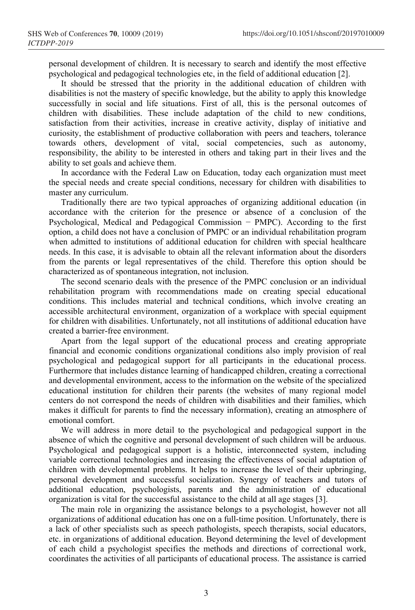personal development of children. It is necessary to search and identify the most effective psychological and pedagogical technologies etc, in the field of additional education [2].

It should be stressed that the priority in the additional education of children with disabilities is not the mastery of specific knowledge, but the ability to apply this knowledge successfully in social and life situations. First of all, this is the personal outcomes of children with disabilities. These include adaptation of the child to new conditions, satisfaction from their activities, increase in creative activity, display of initiative and curiosity, the establishment of productive collaboration with peers and teachers, tolerance towards others, development of vital, social competencies, such as autonomy, responsibility, the ability to be interested in others and taking part in their lives and the ability to set goals and achieve them.

In accordance with the Federal Law on Education, today each organization must meet the special needs and create special conditions, necessary for children with disabilities to master any curriculum.

Traditionally there are two typical approaches of organizing additional education (in accordance with the criterion for the presence or absence of a conclusion of the Psychological, Medical and Pedagogical Commission − PMPC). According to the first option, a child does not have a conclusion of PMPC or an individual rehabilitation program when admitted to institutions of additional education for children with special healthcare needs. In this case, it is advisable to obtain all the relevant information about the disorders from the parents or legal representatives of the child. Therefore this option should be characterized as of spontaneous integration, not inclusion.

The second scenario deals with the presence of the PMPC conclusion or an individual rehabilitation program with recommendations made on creating special educational conditions. This includes material and technical conditions, which involve creating an accessible architectural environment, organization of a workplace with special equipment for children with disabilities. Unfortunately, not all institutions of additional education have created a barrier-free environment.

Apart from the legal support of the educational process and creating appropriate financial and economic conditions organizational conditions also imply provision of real psychological and pedagogical support for all participants in the educational process. Furthermore that includes distance learning of handicapped children, creating a correctional and developmental environment, access to the information on the website of the specialized educational institution for children their parents (the websites of many regional model centers do not correspond the needs of children with disabilities and their families, which makes it difficult for parents to find the necessary information), creating an atmosphere of emotional comfort.

We will address in more detail to the psychological and pedagogical support in the absence of which the cognitive and personal development of such children will be arduous. Psychological and pedagogical support is a holistic, interconnected system, including variable correctional technologies and increasing the effectiveness of social adaptation of children with developmental problems. It helps to increase the level of their upbringing, personal development and successful socialization. Synergy of teachers and tutors of additional education, psychologists, parents and the administration of educational organization is vital for the successful assistance to the child at all age stages [3].

The main role in organizing the assistance belongs to a psychologist, however not all organizations of additional education has one on a full-time position. Unfortunately, there is a lack of other specialists such as speech pathologists, speech therapists, social educators, etc. in organizations of additional education. Beyond determining the level of development of each child a psychologist specifies the methods and directions of correctional work, coordinates the activities of all participants of educational process. The assistance is carried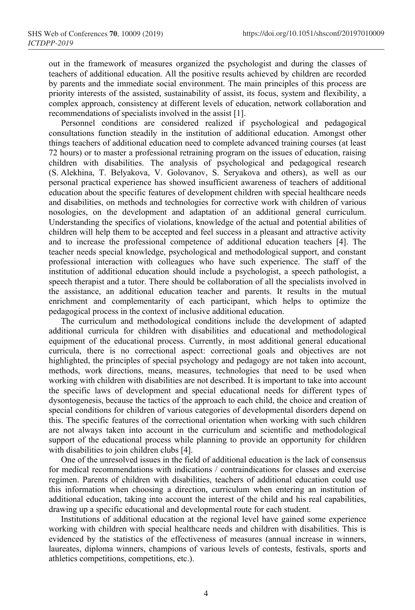out in the framework of measures organized the psychologist and during the classes of teachers of additional education. All the positive results achieved by children are recorded by parents and the immediate social environment. The main principles of this process are priority interests of the assisted, sustainability of assist, its focus, system and flexibility, a complex approach, consistency at different levels of education, network collaboration and recommendations of specialists involved in the assist [1].

Personnel conditions are considered realized if psychological and pedagogical consultations function steadily in the institution of additional education. Amongst other things teachers of additional education need to complete advanced training courses (at least 72 hours) or to master a professional retraining program on the issues of education, raising children with disabilities. The analysis of psychological and pedagogical research (S. Alekhina, T. Belyakova, V. Golovanov, S. Seryakova and others), as well as our personal practical experience has showed insufficient awareness of teachers of additional education about the specific features of development children with special healthcare needs and disabilities, on methods and technologies for corrective work with children of various nosologies, on the development and adaptation of an additional general curriculum. Understanding the specifics of violations, knowledge of the actual and potential abilities of children will help them to be accepted and feel success in a pleasant and attractive activity and to increase the professional competence of additional education teachers [4]. The teacher needs special knowledge, psychological and methodological support, and constant professional interaction with colleagues who have such experience. The staff of the institution of additional education should include a psychologist, a speech pathologist, a speech therapist and a tutor. There should be collaboration of all the specialists involved in the assistance, an additional education teacher and parents. It results in the mutual enrichment and complementarity of each participant, which helps to optimize the pedagogical process in the context of inclusive additional education.

The curriculum and methodological conditions include the development of adapted additional curricula for children with disabilities and educational and methodological equipment of the educational process. Currently, in most additional general educational curricula, there is no correctional aspect: correctional goals and objectives are not highlighted, the principles of special psychology and pedagogy are not taken into account, methods, work directions, means, measures, technologies that need to be used when working with children with disabilities are not described. It is important to take into account the specific laws of development and special educational needs for different types of dysontogenesis, because the tactics of the approach to each child, the choice and creation of special conditions for children of various categories of developmental disorders depend on this. The specific features of the correctional orientation when working with such children are not always taken into account in the curriculum and scientific and methodological support of the educational process while planning to provide an opportunity for children with disabilities to join children clubs [4].

One of the unresolved issues in the field of additional education is the lack of consensus for medical recommendations with indications / contraindications for classes and exercise regimen. Parents of children with disabilities, teachers of additional education could use this information when choosing a direction, curriculum when entering an institution of additional education, taking into account the interest of the child and his real capabilities, drawing up a specific educational and developmental route for each student.

Institutions of additional education at the regional level have gained some experience working with children with special healthcare needs and children with disabilities. This is evidenced by the statistics of the effectiveness of measures (annual increase in winners, laureates, diploma winners, champions of various levels of contests, festivals, sports and athletics competitions, competitions, etc.).